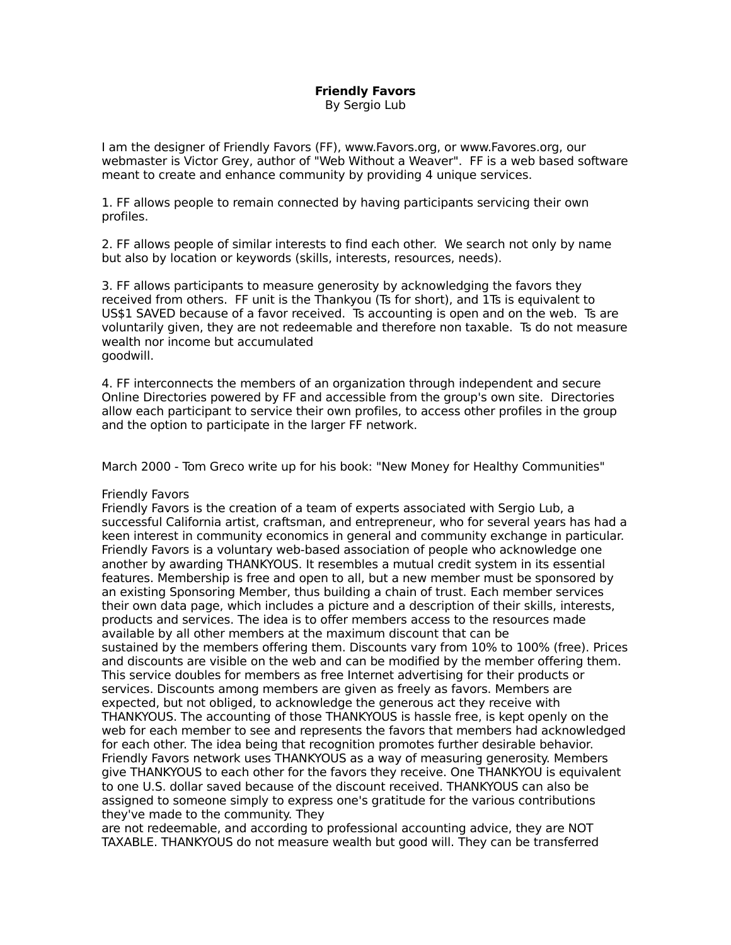## **Friendly Favors** By Sergio Lub

I am the designer of Friendly Favors (FF), www.Favors.org, or www.Favores.org, our webmaster is Victor Grey, author of "Web Without a Weaver". FF is a web based software meant to create and enhance community by providing 4 unique services.

1. FF allows people to remain connected by having participants servicing their own profiles.

2. FF allows people of similar interests to find each other. We search not only by name but also by location or keywords (skills, interests, resources, needs).

3. FF allows participants to measure generosity by acknowledging the favors they received from others. FF unit is the Thankyou (Ts for short), and 1Ts is equivalent to US\$1 SAVED because of a favor received. Ts accounting is open and on the web. Ts are voluntarily given, they are not redeemable and therefore non taxable. Ts do not measure wealth nor income but accumulated goodwill.

4. FF interconnects the members of an organization through independent and secure Online Directories powered by FF and accessible from the group's own site. Directories allow each participant to service their own profiles, to access other profiles in the group and the option to participate in the larger FF network.

March 2000 - Tom Greco write up for his book: "New Money for Healthy Communities"

## Friendly Favors

Friendly Favors is the creation of a team of experts associated with Sergio Lub, a successful California artist, craftsman, and entrepreneur, who for several years has had a keen interest in community economics in general and community exchange in particular. Friendly Favors is a voluntary web-based association of people who acknowledge one another by awarding THANKYOUS. It resembles a mutual credit system in its essential features. Membership is free and open to all, but a new member must be sponsored by an existing Sponsoring Member, thus building a chain of trust. Each member services their own data page, which includes a picture and a description of their skills, interests, products and services. The idea is to offer members access to the resources made available by all other members at the maximum discount that can be sustained by the members offering them. Discounts vary from 10% to 100% (free). Prices and discounts are visible on the web and can be modified by the member offering them. This service doubles for members as free Internet advertising for their products or services. Discounts among members are given as freely as favors. Members are expected, but not obliged, to acknowledge the generous act they receive with THANKYOUS. The accounting of those THANKYOUS is hassle free, is kept openly on the web for each member to see and represents the favors that members had acknowledged for each other. The idea being that recognition promotes further desirable behavior. Friendly Favors network uses THANKYOUS as a way of measuring generosity. Members give THANKYOUS to each other for the favors they receive. One THANKYOU is equivalent to one U.S. dollar saved because of the discount received. THANKYOUS can also be assigned to someone simply to express one's gratitude for the various contributions they've made to the community. They

are not redeemable, and according to professional accounting advice, they are NOT TAXABLE. THANKYOUS do not measure wealth but good will. They can be transferred